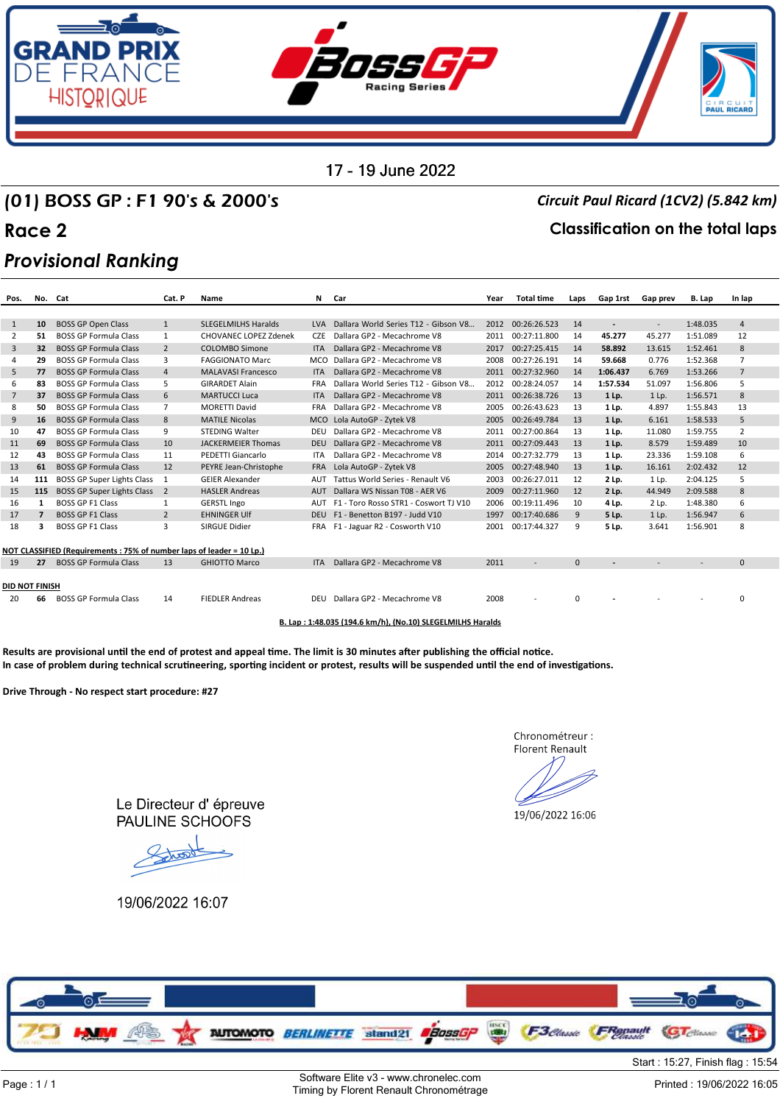

## (01) BOSS GP : F1 90's & 2000's *Circuit Paul Ricard (1CV2) (5.842 km)*

### **Race 2 Classification on the total laps**

## *Provisional Ranking*

| Pos.           | No. Cat        |                                                                      | Cat. P                   | Name                       | N          | <b>Car</b>                            | Year | <b>Total time</b> | Laps     | Gap 1rst                 | Gap prev       | B. Lap   | In lap         |
|----------------|----------------|----------------------------------------------------------------------|--------------------------|----------------------------|------------|---------------------------------------|------|-------------------|----------|--------------------------|----------------|----------|----------------|
|                |                |                                                                      |                          |                            |            |                                       |      |                   |          |                          |                |          |                |
| 1              | 10             | <b>BOSS GP Open Class</b>                                            | 1                        | <b>SLEGELMILHS Haralds</b> | <b>LVA</b> | Dallara World Series T12 - Gibson V8  | 2012 | 00:26:26.523      | 14       | $\overline{\phantom{a}}$ | $\blacksquare$ | 1:48.035 | $\overline{4}$ |
| 2              | 51             | <b>BOSS GP Formula Class</b>                                         | 1                        | CHOVANEC LOPEZ Zdenek      | <b>CZE</b> | Dallara GP2 - Mecachrome V8           | 2011 | 00:27:11.800      | 14       | 45.277                   | 45.277         | 1:51.089 | 12             |
| 3              | 32             | <b>BOSS GP Formula Class</b>                                         | $\overline{2}$           | COLOMBO Simone             | <b>ITA</b> | Dallara GP2 - Mecachrome V8           | 2017 | 00:27:25.415      | 14       | 58.892                   | 13.615         | 1:52.461 | 8              |
| 4              | 29             | <b>BOSS GP Formula Class</b>                                         | 3                        | <b>FAGGIONATO Marc</b>     | MCO        | Dallara GP2 - Mecachrome V8           | 2008 | 00:27:26.191      | 14       | 59.668                   | 0.776          | 1:52.368 | $\overline{7}$ |
| 5              | 77             | <b>BOSS GP Formula Class</b>                                         | $\overline{4}$           | <b>MALAVASI Francesco</b>  | <b>ITA</b> | Dallara GP2 - Mecachrome V8           | 2011 | 00:27:32.960      | 14       | 1:06.437                 | 6.769          | 1:53.266 | $\overline{7}$ |
| 6              | 83             | <b>BOSS GP Formula Class</b>                                         | 5                        | <b>GIRARDET Alain</b>      | <b>FRA</b> | Dallara World Series T12 - Gibson V8  | 2012 | 00:28:24.057      | 14       | 1:57.534                 | 51.097         | 1:56.806 | 5              |
| $\overline{7}$ | 37             | <b>BOSS GP Formula Class</b>                                         | 6                        | <b>MARTUCCI Luca</b>       | <b>ITA</b> | Dallara GP2 - Mecachrome V8           | 2011 | 00:26:38.726      | 13       | 1 Lp.                    | 1 Lp.          | 1:56.571 | 8              |
| 8              | 50             | <b>BOSS GP Formula Class</b>                                         | $\overline{7}$           | <b>MORETTI David</b>       | <b>FRA</b> | Dallara GP2 - Mecachrome V8           | 2005 | 00:26:43.623      | 13       | 1 Lp.                    | 4.897          | 1:55.843 | 13             |
| 9              | 16             | <b>BOSS GP Formula Class</b>                                         | $\mathsf{\mathsf{R}}$    | <b>MATILE Nicolas</b>      | MCO        | Lola AutoGP - Zytek V8                | 2005 | 00:26:49.784      | 13       | 1 Lp.                    | 6.161          | 1:58.533 | 5              |
| 10             | 47             | <b>BOSS GP Formula Class</b>                                         | 9                        | <b>STEDING Walter</b>      | DEU        | Dallara GP2 - Mecachrome V8           | 2011 | 00:27:00.864      | 13       | 1 Lp.                    | 11.080         | 1:59.755 | $\overline{2}$ |
| 11             | 69             | <b>BOSS GP Formula Class</b>                                         | 10                       | <b>JACKERMEIER Thomas</b>  | DEU        | Dallara GP2 - Mecachrome V8           | 2011 | 00:27:09.443      | 13       | 1 Lp.                    | 8.579          | 1:59.489 | 10             |
| 12             | 43             | <b>BOSS GP Formula Class</b>                                         | 11                       | PEDETTI Giancarlo          | <b>ITA</b> | Dallara GP2 - Mecachrome V8           | 2014 | 00:27:32.779      | 13       | 1 Lp.                    | 23.336         | 1:59.108 | 6              |
| 13             | 61             | <b>BOSS GP Formula Class</b>                                         | 12                       | PEYRE Jean-Christophe      | <b>FRA</b> | Lola AutoGP - Zytek V8                | 2005 | 00:27:48.940      | 13       | 1 Lp.                    | 16.161         | 2:02.432 | 12             |
| 14             | 111            | BOSS GP Super Lights Class                                           | -1                       | <b>GEIER Alexander</b>     | AUT        | Tattus World Series - Renault V6      | 2003 | 00:26:27.011      | 12       | 2 Lp.                    | 1 Lp.          | 2:04.125 | 5              |
| 15             | 115            | BOSS GP Super Lights Class                                           | $\overline{\phantom{0}}$ | <b>HASLER Andreas</b>      | <b>AUT</b> | Dallara WS Nissan T08 - AER V6        | 2009 | 00:27:11.960      | 12       | 2 Lp.                    | 44.949         | 2:09.588 | 8              |
| 16             | 1              | <b>BOSS GP F1 Class</b>                                              | $\mathbf{1}$             | <b>GERSTL Ingo</b>         | <b>AUT</b> | F1 - Toro Rosso STR1 - Coswort TJ V10 | 2006 | 00:19:11.496      | 10       | 4 Lp.                    | 2 Lp.          | 1:48.380 | 6              |
| 17             | $\overline{7}$ | <b>BOSS GP F1 Class</b>                                              | 2                        | <b>EHNINGER UIf</b>        | <b>DEU</b> | F1 - Benetton B197 - Judd V10         | 1997 | 00:17:40.686      | 9        | 5 Lp.                    | $1$ Lp.        | 1:56.947 | 6              |
| 18             | 3              | BOSS GP E1 Class                                                     | 3                        | SIRGUE Didier              | <b>FRA</b> | F1 - Jaguar R2 - Cosworth V10         | 2001 | 00:17:44.327      | 9        | 5 Lp.                    | 3.641          | 1:56.901 | 8              |
|                |                |                                                                      |                          |                            |            |                                       |      |                   |          |                          |                |          |                |
|                |                | NOT CLASSIFIED (Requirements: 75% of number laps of leader = 10 Lp.) |                          |                            |            |                                       |      |                   |          |                          |                |          |                |
| 19             | 27             | <b>BOSS GP Formula Class</b>                                         | 13                       | <b>GHIOTTO Marco</b>       | <b>ITA</b> | Dallara GP2 - Mecachrome V8           | 2011 |                   | $\Omega$ | $\overline{a}$           |                |          | $\mathbf{0}$   |
|                |                |                                                                      |                          |                            |            |                                       |      |                   |          |                          |                |          |                |
| DID NOT FINISH |                |                                                                      |                          |                            |            |                                       |      |                   |          |                          |                |          |                |
| 20             | 66             | <b>BOSS GP Formula Class</b>                                         | 14                       | <b>FIEDLER Andreas</b>     | DEU        | Dallara GP2 - Mecachrome V8           | 2008 |                   | $\Omega$ |                          |                |          | $\Omega$       |
|                |                |                                                                      |                          |                            |            |                                       |      |                   |          |                          |                |          |                |

**B. Lap : 1:48.035 (194.6 km/h), (No.10) SLEGELMILHS Haralds**

Results are provisional until the end of protest and appeal time. The limit is 30 minutes after publishing the official notice. In case of problem during technical scrutineering, sporting incident or protest, results will be suspended until the end of investigations.

**Drive Through - No respect start procedure: #27**

Chronométreur : **Florent Renault** 

19/06/2022 16:06

Le Directeur d'épreuve **PAULINE SCHOOFS** 

19/06/2022 16:07

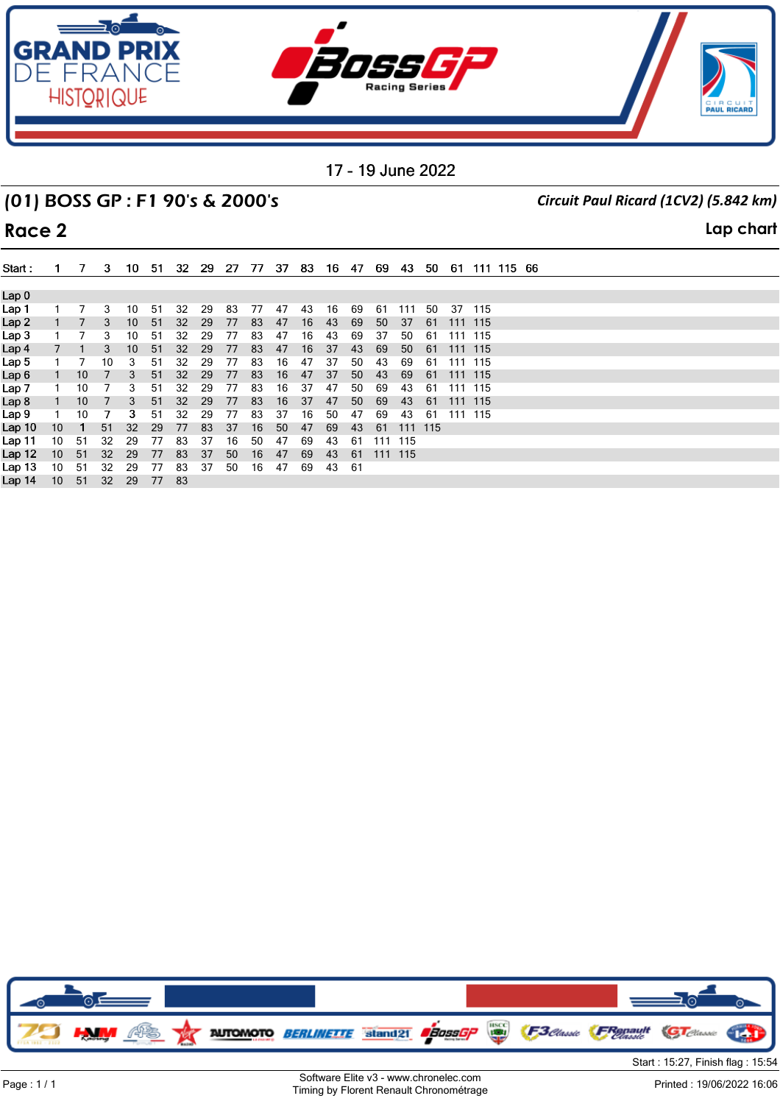

# (01) BOSS GP : F1 90's & 2000's *Circuit Paul Ricard (1CV2) (5.842 km)*

**Race 2 Lap chart**

| Start:            |                 | 7               | 3. | 10              | -51 | 32 | -29 | 27 | -77 | 37 | 83 | 16 | 47 | 69  | 43  | 50  | -61     |       | 111 115 66 |  |
|-------------------|-----------------|-----------------|----|-----------------|-----|----|-----|----|-----|----|----|----|----|-----|-----|-----|---------|-------|------------|--|
|                   |                 |                 |    |                 |     |    |     |    |     |    |    |    |    |     |     |     |         |       |            |  |
| Lap <sub>0</sub>  |                 |                 |    |                 |     |    |     |    |     |    |    |    |    |     |     |     |         |       |            |  |
| Lap 1             |                 |                 | 3  | 10              | -51 | 32 | 29  | 83 | 77  | 47 | 43 | 16 | 69 | 61  | 111 | 50  | 37      | 115   |            |  |
| Lap 2             |                 |                 | 3  | 10 <sup>1</sup> | 51  | 32 | 29  | 77 | 83  | 47 | 16 | 43 | 69 | 50  | 37  | 61  | 111 115 |       |            |  |
| Lap <sub>3</sub>  |                 |                 | 3  | 10              | -51 | 32 | 29  | 77 | 83  | 47 | 16 | 43 | 69 | 37  | 50  | 61  | 111     | - 115 |            |  |
| Lap 4             |                 |                 | 3  | 10 <sup>°</sup> | 51  | 32 | 29  | 77 | 83  | 47 | 16 | 37 | 43 | 69  | 50  | 61  | 111     | 115   |            |  |
| Lap 5             |                 |                 | 10 | 3               | 51  | 32 | 29  | 77 | 83  | 16 | 47 | 37 | 50 | 43  | 69  | 61  | 111     | 115   |            |  |
| Lap <sub>6</sub>  |                 | 10 <sup>1</sup> | 7  | 3               | 51  | 32 | 29  | 77 | 83  | 16 | 47 | 37 | 50 | 43  | 69  | 61  | 111     | 115   |            |  |
| Lap 7             |                 | 10              |    | 3               | 51  | 32 | 29  | 77 | 83  | 16 | 37 | 47 | 50 | 69  | 43  | 61  | 111     | 115   |            |  |
| Lap 8             |                 | 10 <sup>1</sup> |    | 3               | 51  | 32 | 29  | 77 | 83  | 16 | 37 | 47 | 50 | 69  | 43  | 61  | 111     | 115   |            |  |
| Lap 9             |                 | 10              |    | 3               | 51  | 32 | 29  | 77 | 83  | 37 | 16 | 50 | 47 | 69  | 43  | 61  | 111     | 115   |            |  |
| Lap <sub>10</sub> | 10              |                 | 51 | 32              | 29  | 77 | 83  | 37 | 16  | 50 | 47 | 69 | 43 | 61  | 111 | 115 |         |       |            |  |
| Lap 11            | 10              | 51              | 32 | 29              | 77  | 83 | 37  | 16 | 50  | 47 | 69 | 43 | 61 | 111 | 115 |     |         |       |            |  |
| Lap <sub>12</sub> | 10              | 51              | 32 | 29              | 77  | 83 | 37  | 50 | 16  | 47 | 69 | 43 | 61 | 111 | 115 |     |         |       |            |  |
| Lap 13            | 10              | 51              | 32 | 29              | 77  | 83 | 37  | 50 | 16  | 47 | 69 | 43 | 61 |     |     |     |         |       |            |  |
| Lap <sub>14</sub> | 10 <sup>1</sup> | 51              | 32 | 29              | 77  | 83 |     |    |     |    |    |    |    |     |     |     |         |       |            |  |

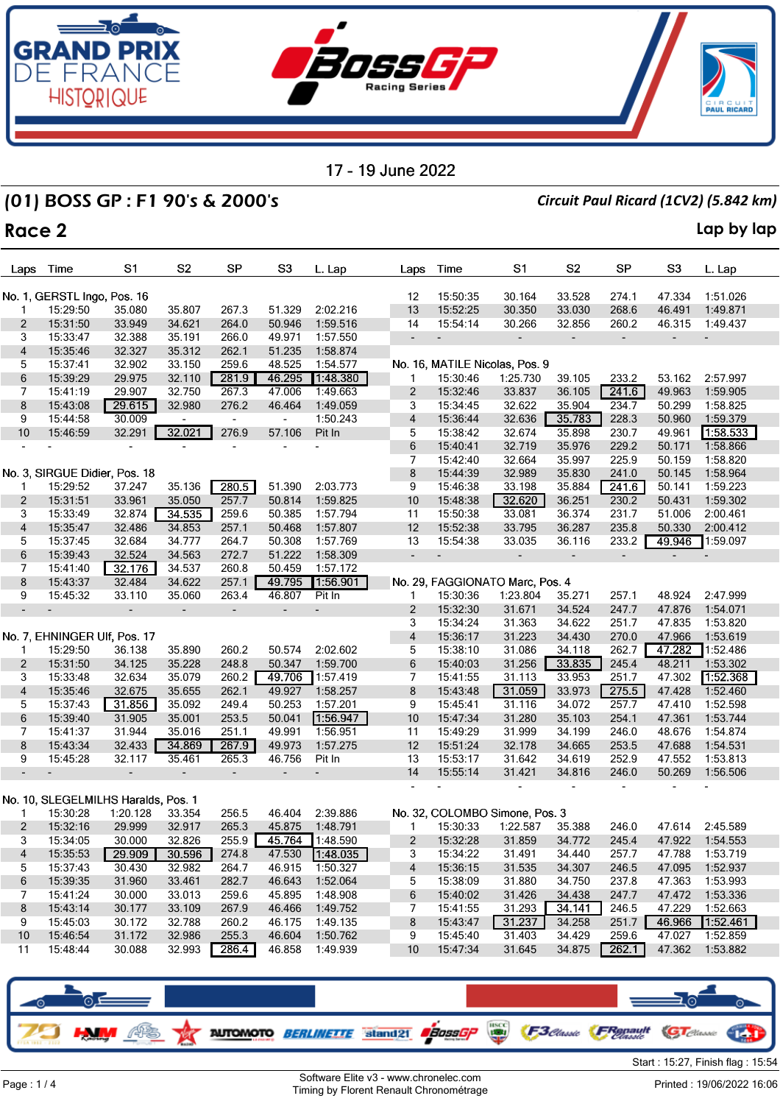

## (01) BOSS GP : F1 90's & 2000's *Circuit Paul Ricard (1CV2) (5.842 km)*

**Race 2 Lap by lap**

Laps Time  $S<sub>1</sub>$ S<sub>2</sub> **SP** S<sub>3</sub> L. Lap Laps Time  $S<sub>1</sub>$  $S<sub>2</sub>$ **SP** S<sub>3</sub> L. Lap No. 1, GERSTL Ingo, Pos. 16 12 15:50:35 30.164 33.528 274.1 47.334 1:51.026 1 15:29:50 35.080 35.807 267.3 51.329 2:02.216 13 15:52:25 30.350 33.030 268.6 46.491 1:49.871 2 15:31:50 33.949 34.621 264.0 50.946 1:59.516 14 15:54:14 30.266 32.856 260.2 46.315 1:49.437 3 15:33:47 32.388 35.191 266.0 49.971 1:57.550 - - - - - - - 4 15:35:46 32.327 35.312 262.1 51.235 1:58.874 5 15:37:41 32.902 33.150 259.6 48.525 1:54.577 No. 16, MATILE Nicolas, Pos. 9 6 15:39:29 29.975 32.110 281.9 46.295 1:48.380 1 15:30:46 1:25.730 39.105 233.2 53.162 2:57.997 2 15:32:46 33.837 36.105 49.963 1:59.905 7 15:41:19 29.907 32.750 267.3 47.006 1:49.663 8 15:43:08 32.980 276.2 46.464 1:49.059 3 15:34:45 32.622 35.904 234.7 50.299 1:58.825 9 15:44:58 30.009 - - - - 1:50.243<br>10 15:46:59 32.291 32.021 276.9 57.106 Pit In 4 15:36:44 32.636 228.3 50.960 1:59.379 10 15:46:59 32.291 276.9 57.106 Pit In 5 15:38:42 32.674 35.898 230.7 49.961 1:58.533 6 15:40:41 32.719 35.976 229.2 50.171 1:58.866 - - - - - - - 7 15:42:40 32.664 35.997 225.9 50.159 1:58.820 No. 3, SIRGUE Didier, Pos. 18 8 15:44:39 32.989 35.830 241.0 50.145 1:58.964<br>9 15:46:38 33.198 35.884 241.6 50.141 1:59.223 1 15:29:52 37.247 35.136 280.5 51.390 2:03.773 9 15:46:38 33.198 35.884 50.141 1:59.223 2 15:31:51 33.961 35.050 257.7 50.814 1:59.825 10 15:48:38 36.251 230.2 50.431 1:59.302 3 15:33:49 32.874 259.6 50.385 1:57.794 11 15:50:38 33.081 36.374 231.7 51.006 2:00.461 4 15:35:47 32.486 34.853 257.1 50.468 1:57.807 12 15:52:38 33.795 36.287 235.8 50.330 2:00.412 5 15:37:45 32.684 34.777 264.7 50.308 1:57.769 13 15:54:38 33.035 36.116 233.2 49.946 1:59.097 6 15:39:43 32.524 34.563 272.7 51.222 1:58.309 - - - - - - - 7 15:41:40 34.537 260.8 50.459 1:57.172 8 15:43:37 32.484 34.622 257.1 49.795 1:56.901 No. 29, FAGGIONATO Marc, Pos. 4 9 15:45:32 33.110 35.060 263.4 46.807 Pit In 1 15:30:36 1:23.804 35.271 257.1 48.924 2:47.999 2 15:32:30 31.671 34.524 247.7 47.876 1:54.071 - - - - - - - 3 15:34:24 31.363 34.622 251.7 47.835 1:53.820 No. 7, EHNINGER Ulf, Pos. 17 4 15:36:17 31.223 34.430 270.0 47.966 1:53.619 1 15:29:50 36.138 35.890 260.2 50.574 2:02.602 5 15:38:10 31.086 34.118 262.7 1:52.486 2 15:31:50 34.125 35.228 248.8 50.347 1:59.700 6 15:40:03 31.256 33.835 245.4 48.211 1:53.302<br>7 15:41:55 31.113 33.953 251.7 47.302 1:52.368 3 15:33:48 32.634 35.079 260.2 1:57.419 7 15:41:55 31.113 33.953 251.7 47.302 8 15:43:48 31.059 33.973 275.5 47.428 1:52.460 4 15:35:46 32.675 35.655 262.1 49.927 1:58.257 5 15:37:43 31.856 35.092 249.4 50.253 1:57.201<br>6 15:39:40 31.905 35.001 253.5 50.041 1:56.947 9 15:45:41 31.116 34.072 257.7 47.410 1:52.598 6 15:39:40 31.905 35.001 253.5 10 15:47:34 31.280 35.103 254.1 47.361 1:53.744 7 15:41:37 31.944 35.016 251.1 49.991 1:56.951 11 15:49:29 31.999 34.199 246.0 48.676 1:54.874 8 15:43:34 32.433 34.869 267.9 49.973 1:57.275 12 15:51:24 32.178 34.665 253.5 47.688 1:54.531 9 15:45:28 32.117 35.461 265.3 46.756 Pit In 13 15:53:17 31.642 34.619 252.9 47.552 1:53.813 14 15:55:14 31.421 34.816 246.0 50.269 1:56.506 - - - - - - - - - - - - - - No. 10, SLEGELMILHS Haralds, Pos. 1 1 15:30:28 1:20.128 33.354 256.5 46.404 2:39.886 No. 32. COLOMBO Simone, Pos. 3 2 15:32:16 29.999 32.917 265.3 45.875 1:48.791<br>3 15:34:05 30.000 32.826 255.9 45.764 1:48.590 1 15:30:33 1:22.587 35.388 246.0 47.614 2:45.589 3 15:34:05 30.000 32.826 255.9 45.764 1:48.590<br>4 15:35:53 29.909 30.596 274.8 47.530 1:48.035 2 15:32:28 31.859 34.772 245.4 47.922 1:54.553 4 15:35:53 29.909 30.596 274.8 47.530 1:48.035 3 15:34:22 31.491 34.440 257.7 47.788 1:53.719 5 15:37:43 30.430 32.982 264.7 46.915 1:50.327 4 15:36:15 31.535 34.307 246.5 47.095 1:52.937 6 15:39:35 31.960 33.461 282.7 46.643 1:52.064 5 15:38:09 31.880 34.750 237.8 47.363 1:53.993 7 15:41:24 30.000 33.013 259.6 45.895 1:48.908 6 15:40:02 31.426 34.438 247.7 47.472 1:53.336 8 15:43:14 30.177 33.109 267.9 46.466 1:49.752 7 15:41:55 31.293 246.5 47.229 1:52.663 8 15:43:47 34.258 251.7 46.966 9 15:45:03 30.172 32.788 260.2 46.175 1:49.135 1:52.461 10 15:46:54 31.172 32.986 255.3 46.604 1:50.762 9 15:45:40 31.403 34.429 259.6 47.027 1:52.859 11 15:48:44 30.088 32.993 286.4 46.858 1:49.939 10 15:47:34 31.645 34.875 262.1 47.362 1:53.882

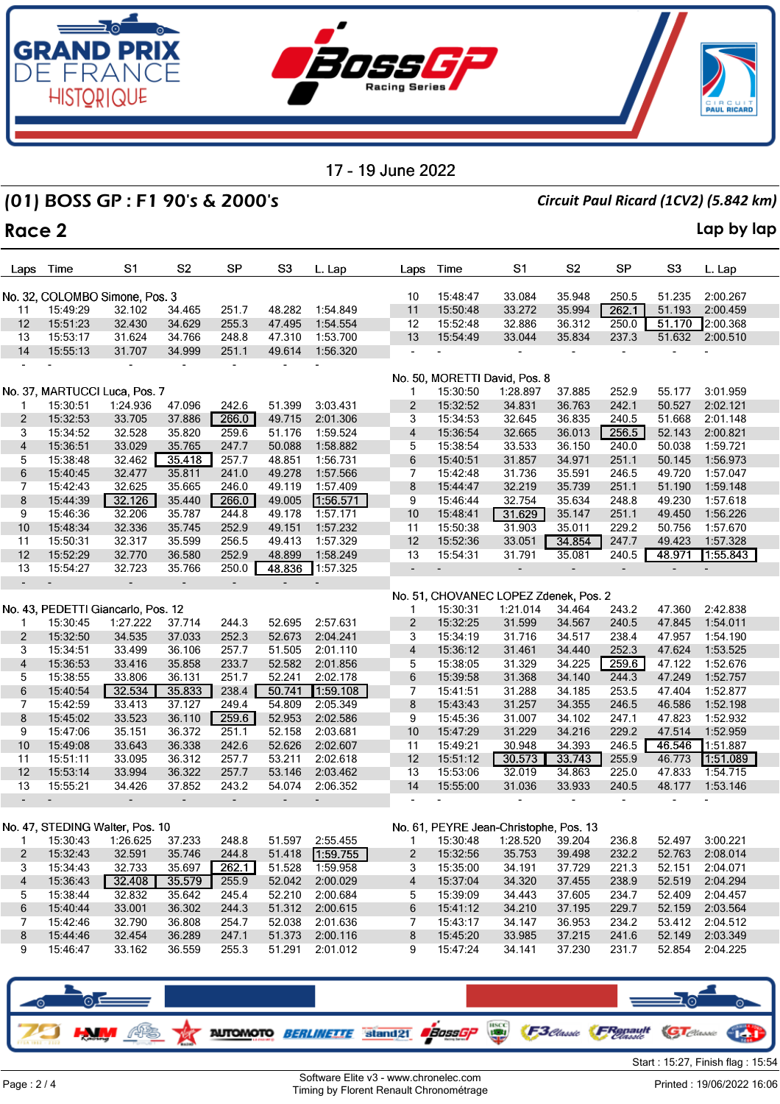

### (01) BOSS GP : F1 90's & 2000's *Circuit Paul Ricard (1CV2) (5.842 km)*

### **Race 2 Lap by lap**

Laps Time  $S<sub>1</sub>$ S<sub>2</sub> **SP** S<sub>3</sub> L. Lap Laps Time  $S<sub>1</sub>$  $S<sub>2</sub>$ **SP** S<sub>3</sub> L. Lap No. 32, COLOMBO Simone, Pos. 3 10 15:48:47 33.084 35.948 250.5 51.235 2:00.267<br>11 15:50:48 33.272 35.994 262.1 51.193 2:00.459 11 15:49:29 32.102 34.465 251.7 48.282 1:54.849 11 15:50:48 33.272 35.994 262.1 51.193 2:00.459 12 15:51:23 32.430 34.629 255.3 47.495 1:54.554 12 15:52:48 32.886 36.312 250.0 2:00.368 13 15:53:17 31.624 34.766 248.8 47.310 1:53.700 13 15:54:49 33.044 35.834 237.3 51.632 2:00.510 14 15:55:13 31.707 34.999 251.1 49.614 1:56.320 - - - - - - - - - - - - - - No. 50, MORETTI David, Pos. 8 No. 37, MARTUCCI Luca, Pos. 7 1 15:30:50 1:28.897 37.885 252.9 55.177 3:01.959 1 15:30:51 1:24.936 47.096 242.6 51.399 3:03.431 2 15:32:52 34.831 36.763 242.1 50.527 2:02.121 2 15:32:53 33.705 37.886 49.715 2:01.306 3 15:34:53 32.645 36.835 240.5 51.668 2:01.148 3 15:34:52 32.528 35.820 259.6 51.176 1:59.524 4 15:36:54 32.665 36.013 52.143 2:00.821 4 15:36:51 33.029 35.765 247.7 50.088 1:58.882 5 15:38:54 33.533 36.150 240.0 50.038 1:59.721 5 15:38:48 32.462 257.7 48.851 1:56.731 6 15:40:51 31.857 34.971 251.1 50.145 1:56.973 6 15:40:45 32.477 35.811 241.0 49.278 1:57.566 7 15:42:48 31.736 35.591 246.5 49.720 1:57.047 7 15:42:43 32.625 35.665 246.0 49.119 1:57.409 8 15:44:47 32.219 35.739 251.1 51.190 1:59.148 8 15:44:39 32.126 35.440 266.0 49.005  $1:56.571$ 9 15:46:44 32.754 35.634 248.8 49.230 1:57.618 9 15:46:36 32.206 35.787 244.8 49.178 1:57.171 10 15:48:41 35.147 251.1 49.450 1:56.226 10 15:48:34 32.336 35.745 252.9 49.151 1:57.232 11 15:50:38 31.903 35.011 229.2 50.756 1:57.670<br>12 15:52:36 33.051 34.854 247.7 49.423 1:57.328 11 15:50:31 32.317 35.599 256.5 49.413 1:57.329 12 15:52:36 33.051 247.7 49.423 1:57.328 12 15:52:29 32.770 36.580 252.9 48.899 1:58.249 13 15:54:31 31.791 35.081 240.5 48.971 1:55.843 13 15:54:27 32.723 35.766 250.0 1:57.325 - - - - - - - - - - - - - - No. 51, CHOVANEC LOPEZ Zdenek, Pos. 2 1 15:30:31 1:21.014 34.464 243.2 47.360 2:42.838 No. 43, PEDETTI Giancarlo, Pos. 12 2 15:32:25 31.599 34.567 240.5 47.845 1:54.011 1 15:30:45 1:27.222 37.714 244.3 52.695 2:57.631 2 15:32:50 34.535 37.033 252.3 52.673 2:04.241 3 15:34:19 31.716 34.517 238.4 47.957 1:54.190 3 15:34:51 33.499 36.106 257.7 51.505 2:01.110 4 15:36:12 31.461 34.440 252.3 47.624 1:53.525 4 15:36:53 33.416 35.858 233.7 52.582 2:01.856 5 15:38:05 31.329 34.225 47.122 1:52.676 5 15:38:55 33.806 36.131 251.7 52.241 2:02.178 6 15:39:58 31.368 34.140 244.3 47.249 1:52.757 50.741 6 15:40:54 32.534 35.833 238.4 1:59.108 7 15:41:51 31.288 34.185 253.5 47.404 1:52.877 7 15:42:59 33.413 37.127 249.4 54.809 2:05.349 8 15:43:43 31.257 34.355 246.5 46.586 1:52.198 8 15:45:02 33.523 36.110 52.953 2:02.586 9 15:45:36 31.007 34.102 247.1 47.823 1:52.932 9 15:47:06 35.151 36.372 251.1 52.158 2:03.681 10 15:47:29 31.229 34.216 229.2 47.514 1:52.959 10 15:49:08 33.643 36.338 242.6 52.626 2:02.607 11 15:49:21 30.948 34.393 246.5 1:51.887 11 15:51:11 33.095 36.312 257.7 53.211 2:02.618 12 15:51:12 30.573 33.743 255.9 46.773 1:51.089 12 15:53:14 33.994 36.322 257.7 53.146 2:03.462 13 15:53:06 32.019 34.863 225.0 47.833 1:54.715 13 15:55:21 34.426 37.852 243.2 54.074 2:06.352 14 15:55:00 31.036 33.933 240.5 48.177 1:53.146 - - - - - - - - - - - - - - No. 47, STEDING Walter, Pos. 10 No. 61, PEYRE Jean-Christophe, Pos. 13 1 15:30:43 1:26.625 37.233 248.8 51.597 2:55.455 1 15:30:48 1:28.520 39.204 236.8 52.497 3:00.221 2 15:32:43 32.591 35.746 244.8 51.418 2 15:32:56 35.753 39.498 232.2 52.763 2:08.014 3 15:34:43 32.733 35.697 262.1 51.528 1:59.958<br>4 15:36:43 32.408 35.579 255.9 52.042 2:00.029 3 15:35:00 34.191 37.729 221.3 52.151 2:04.071 15:36:43 32.408 35.579 255.9 15:37:04 34.320 37.455 238.9 5 15:38:44 32.832 35.642 245.4 52.210 2:00.684 5 15:39:09 34.443 37.605 234.7 52.409 2:04.457 6 15:40:44 33.001 36.302 244.3 51.312 2:00.615 6 15:41:12 34.210 37.195 229.7 52.159 2:03.564 7 15:42:46 32.790 36.808 254.7 52.038 2:01.636 7 15:43:17 34.147 36.953 234.2 53.412 2:04.512 8 15:44:46 32.454 36.289 247.1 51.373 2:00.116 8 15:45:20 33.985 37.215 241.6 52.149 2:03.349 9 15:46:47 33.162 36.559 255.3 51.291 2:01.012 9 15:47:24 34.141 37.230 231.7 52.854 2:04.225



Start : 15:27, Finish flag : 15:54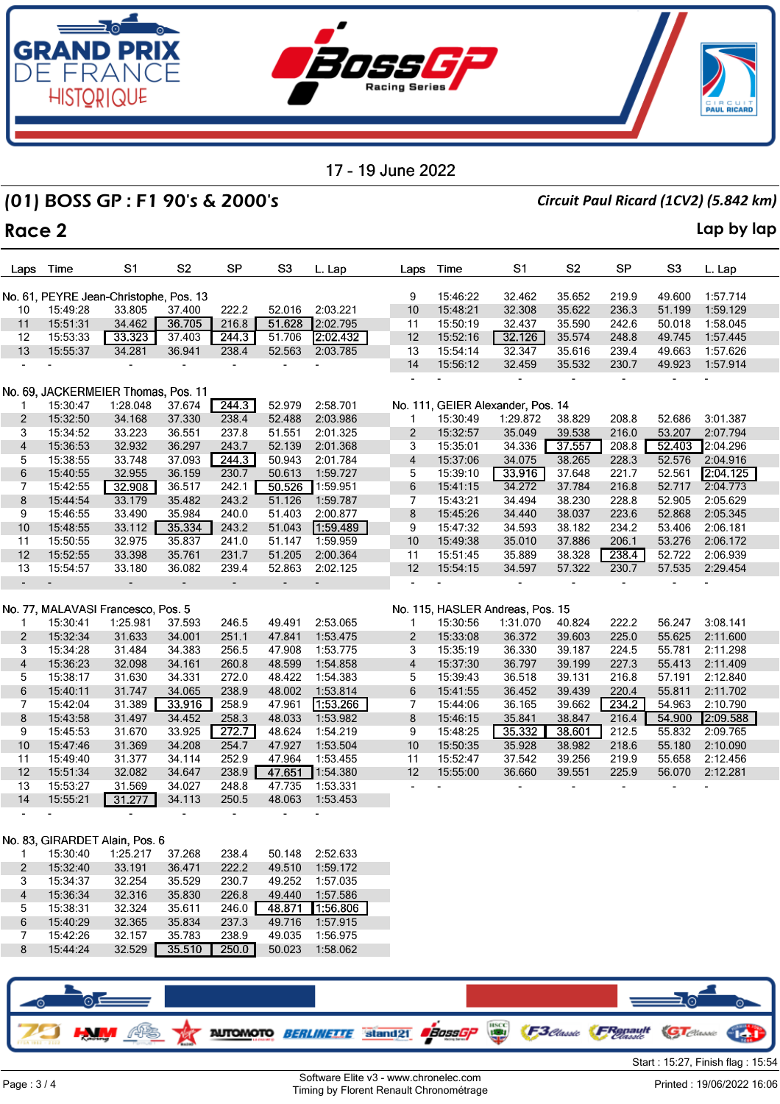

# (01) BOSS GP : F1 90's & 2000's *Circuit Paul Ricard (1CV2) (5.842 km)*

## **Race 2 Lap by lap**

| Laps                                | Time     | S <sub>1</sub>                         | S <sub>2</sub>           | <b>SP</b>                | S <sub>3</sub>           | L. Lap   | Laps           | Time     | S <sub>1</sub>                    | S <sub>2</sub> | <b>SP</b> | S <sub>3</sub> | L. Lap   |
|-------------------------------------|----------|----------------------------------------|--------------------------|--------------------------|--------------------------|----------|----------------|----------|-----------------------------------|----------------|-----------|----------------|----------|
|                                     |          |                                        |                          |                          |                          |          |                |          |                                   |                |           |                |          |
|                                     |          | No. 61, PEYRE Jean-Christophe, Pos. 13 |                          |                          |                          |          | 9              | 15:46:22 | 32.462                            | 35.652         | 219.9     | 49.600         | 1:57.714 |
| 10                                  | 15:49:28 | 33.805                                 | 37.400                   | 222.2                    | 52.016                   | 2:03.221 | 10             | 15:48:21 | 32.308                            | 35.622         | 236.3     | 51.199         | 1:59.129 |
| 11                                  | 15:51:31 | 34.462                                 | 36.705                   | 216.8                    | 51.628                   | 2:02.795 | 11             | 15:50:19 | 32.437                            | 35.590         | 242.6     | 50.018         | 1:58.045 |
| 12                                  | 15:53:33 | 33.323                                 | 37.403                   | 244.3                    | 51.706                   | 2:02.432 | 12             | 15:52:16 | 32.126                            | 35.574         | 248.8     | 49.745         | 1:57.445 |
| 13                                  | 15:55:37 | 34.281                                 | 36.941                   | 238.4                    | 52.563                   | 2:03.785 | 13             | 15:54:14 | 32.347                            | 35.616         | 239.4     | 49.663         | 1:57.626 |
|                                     |          |                                        |                          |                          |                          |          | 14             | 15:56:12 | 32.459                            | 35.532         | 230.7     | 49.923         | 1:57.914 |
| No. 69, JACKERMEIER Thomas, Pos. 11 |          |                                        |                          |                          |                          |          |                |          |                                   |                |           |                |          |
| 1                                   | 15:30:47 | 1:28.048                               | 37.674                   | 244.3                    | 52.979                   | 2:58.701 |                |          | No. 111, GEIER Alexander, Pos. 14 |                |           |                |          |
| $\overline{c}$                      | 15:32:50 | 34.168                                 | 37.330                   | 238.4                    | 52.488                   | 2:03.986 | 1              | 15:30:49 | 1:29.872                          | 38.829         | 208.8     | 52.686         | 3:01.387 |
| 3                                   | 15:34:52 | 33.223                                 | 36.551                   | 237.8                    | 51.551                   | 2:01.325 | $\overline{c}$ | 15:32:57 | 35.049                            | 39.538         | 216.0     | 53.207         | 2:07.794 |
| 4                                   | 15:36:53 | 32.932                                 | 36.297                   | 243.7                    | 52.139                   | 2:01.368 | 3              | 15:35:01 | 34.336                            | 37.557         | 208.8     | 52.403         | 2:04.296 |
| 5                                   | 15:38:55 | 33.748                                 | 37.093                   | 244.3                    | 50.943                   | 2:01.784 | 4              | 15:37:06 | 34.075                            | 38.265         | 228.3     | 52.576         | 2:04.916 |
| 6                                   | 15:40:55 | 32.955                                 | 36.159                   | 230.7                    | 50.613                   | 1:59.727 | 5              | 15:39:10 | 33.916                            | 37.648         | 221.7     | 52.561         | 2:04.125 |
| 7                                   | 15:42:55 | 32.908                                 | 36.517                   | 242.1                    | 50.526                   | 1:59.951 | 6              | 15:41:15 | 34.272                            | 37.784         | 216.8     | 52.717         | 2:04.773 |
| 8                                   | 15:44:54 | 33.179                                 | 35.482                   | 243.2                    | 51.126                   | 1:59.787 | 7              | 15:43:21 | 34.494                            | 38.230         | 228.8     | 52.905         | 2:05.629 |
| 9                                   | 15:46:55 | 33.490                                 | 35.984                   | 240.0                    | 51.403                   | 2:00.877 | 8              | 15:45:26 | 34.440                            | 38.037         | 223.6     | 52.868         | 2:05.345 |
| 10                                  | 15:48:55 | 33.112                                 | 35.334                   | 243.2                    | 51.043                   | 1:59.489 | 9              | 15:47:32 | 34.593                            | 38.182         | 234.2     | 53.406         | 2:06.181 |
| 11                                  | 15:50:55 | 32.975                                 | 35.837                   | 241.0                    | 51.147                   | 1:59.959 | 10             | 15:49:38 | 35.010                            | 37.886         | 206.1     | 53.276         | 2:06.172 |
| 12                                  | 15:52:55 | 33.398                                 | 35.761                   | 231.7                    | 51.205                   | 2:00.364 | 11             | 15:51:45 | 35.889                            | 38.328         | 238.4     | 52.722         | 2:06.939 |
| 13                                  | 15:54:57 | 33.180                                 | 36.082                   | 239.4                    | 52.863                   | 2:02.125 | 12             | 15:54:15 | 34.597                            | 57.322         | 230.7     | 57.535         | 2:29.454 |
|                                     |          | $\blacksquare$                         | $\overline{\phantom{a}}$ | $\overline{\phantom{a}}$ | $\overline{\phantom{a}}$ | ÷,       |                |          |                                   |                |           |                |          |
|                                     |          |                                        |                          |                          |                          |          |                |          |                                   |                |           |                |          |
|                                     |          | No. 77, MALAVASI Francesco, Pos. 5     |                          |                          |                          |          |                |          | No. 115, HASLER Andreas, Pos. 15  |                |           |                |          |
| $\mathbf{1}$                        | 15:30:41 | 1:25.981                               | 37.593                   | 246.5                    | 49.491                   | 2:53.065 | 1              | 15:30:56 | 1:31.070                          | 40.824         | 222.2     | 56.247         | 3:08.141 |
| $\overline{c}$                      | 15:32:34 | 31.633                                 | 34.001                   | 251.1                    | 47.841                   | 1:53.475 | $\overline{c}$ | 15:33:08 | 36.372                            | 39.603         | 225.0     | 55.625         | 2:11.600 |
| 3                                   | 15:34:28 | 31.484                                 | 34.383                   | 256.5                    | 47.908                   | 1:53.775 | 3              | 15:35:19 | 36.330                            | 39.187         | 224.5     | 55.781         | 2:11.298 |
| $\overline{\mathbf{4}}$             | 15:36:23 | 32.098                                 | 34.161                   | 260.8                    | 48.599                   | 1:54.858 | 4              | 15:37:30 | 36.797                            | 39.199         | 227.3     | 55.413         | 2:11.409 |
| 5                                   | 15:38:17 | 31.630                                 | 34.331                   | 272.0                    | 48.422                   | 1:54.383 | 5              | 15:39:43 | 36.518                            | 39.131         | 216.8     | 57.191         | 2:12.840 |
| 6                                   | 15:40:11 | 31.747                                 | 34.065                   | 238.9                    | 48.002                   | 1:53.814 | 6              | 15:41:55 | 36.452                            | 39.439         | 220.4     | 55.811         | 2:11.702 |
| 7                                   | 15:42:04 | 31.389                                 | 33.916                   | 258.9                    | 47.961                   | 1:53.266 | 7              | 15:44:06 | 36.165                            | 39.662         | 234.2     | 54.963         | 2:10.790 |
| 8                                   | 15:43:58 | 31.497                                 | 34.452                   | 258.3                    | 48.033                   | 1:53.982 | 8              | 15:46:15 | 35.841                            | 38.847         | 216.4     | 54.900         | 2:09.588 |
| 9                                   | 15:45:53 | 31.670                                 | 33.925                   | 272.7                    | 48.624                   | 1:54.219 | 9              | 15:48:25 | 35.332                            | 38.601         | 212.5     | 55.832         | 2:09.765 |
| 10                                  | 15:47:46 | 31.369                                 | 34.208                   | 254.7                    | 47.927                   | 1:53.504 | 10             | 15:50:35 | 35.928                            | 38.982         | 218.6     | 55.180         | 2:10.090 |
| 11                                  | 15:49:40 | 31.377                                 | 34.114                   | 252.9                    | 47.964                   | 1:53.455 | 11             | 15:52:47 | 37.542                            | 39.256         | 219.9     | 55.658         | 2:12.456 |
| 12                                  | 15:51:34 | 32.082                                 | 34.647                   | 238.9                    | 47.651                   | 1:54.380 | 12             | 15:55:00 | 36.660                            | 39.551         | 225.9     | 56.070         | 2:12.281 |
| 13                                  | 15:53:27 | 31.569                                 | 34.027                   | 248.8                    | 47.735                   | 1:53.331 |                |          |                                   |                |           |                |          |
| 14                                  | 15:55:21 | 31.277                                 | 34.113                   | 250.5                    | 48.063                   | 1:53.453 |                |          |                                   |                |           |                |          |
|                                     |          | $\blacksquare$                         | $\blacksquare$           |                          | $\overline{\phantom{a}}$ |          |                |          |                                   |                |           |                |          |

### No. 83, GIRARDET Alain, Pos. 6

|   | 15:30:40 | 1:25.217 | 37.268 | 238.4 | 50.148 | 2:52.633 |  |
|---|----------|----------|--------|-------|--------|----------|--|
| 2 | 15:32:40 | 33.191   | 36.471 | 222.2 | 49.510 | 1:59.172 |  |
| 3 | 15:34:37 | 32.254   | 35.529 | 230.7 | 49.252 | 1:57.035 |  |
| 4 | 15:36:34 | 32.316   | 35.830 | 226.8 | 49.440 | 1:57.586 |  |
| 5 | 15:38:31 | 32.324   | 35.611 | 246.0 | 48.871 | 1:56.806 |  |
| 6 | 15:40:29 | 32.365   | 35.834 | 237.3 | 49.716 | 1:57.915 |  |
|   | 15:42:26 | 32.157   | 35.783 | 238.9 | 49.035 | 1:56.975 |  |
| 8 | 15:44:24 | 32.529   | 35.510 | 250.0 | 50.023 | 1:58.062 |  |

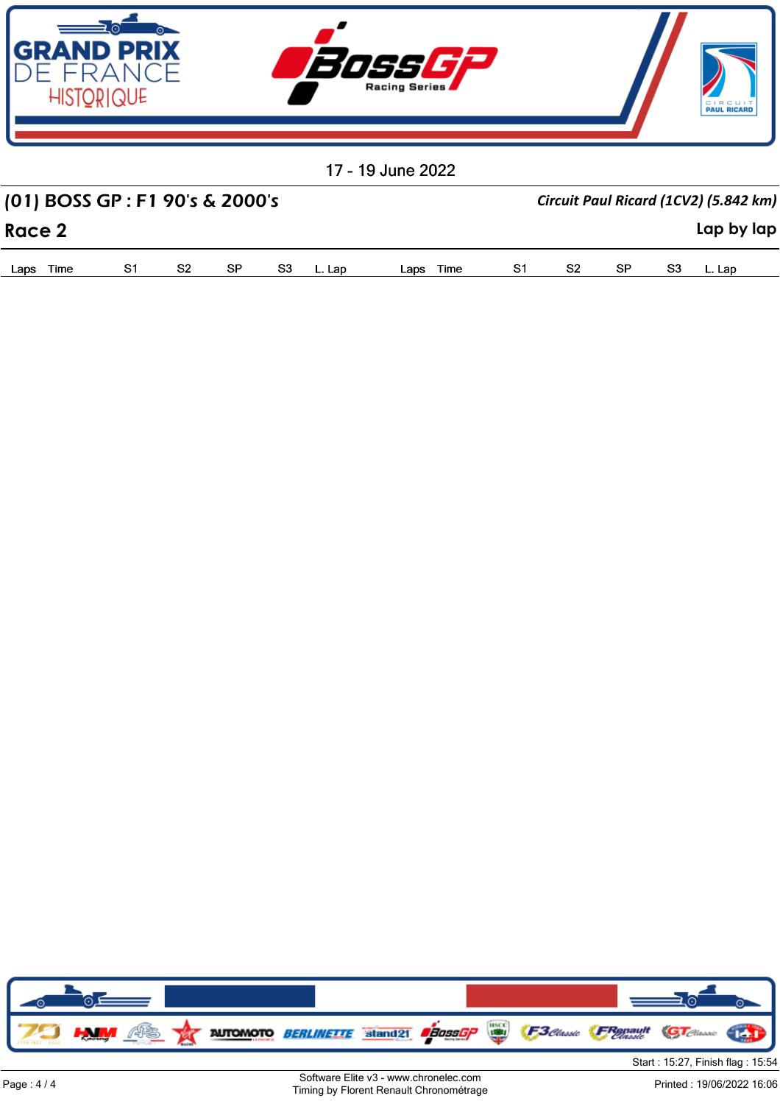

| (01) BOSS GP : F1 90's & 2000's |    |  | Circuit Paul Ricard (1CV2) (5.842 km) |           |  |                |  |  |            |  |  |
|---------------------------------|----|--|---------------------------------------|-----------|--|----------------|--|--|------------|--|--|
| <b>Race 2</b>                   |    |  |                                       |           |  |                |  |  | Lap by lap |  |  |
| l ans l<br>Time                 | S2 |  |                                       | Lans Time |  | S <sub>2</sub> |  |  |            |  |  |